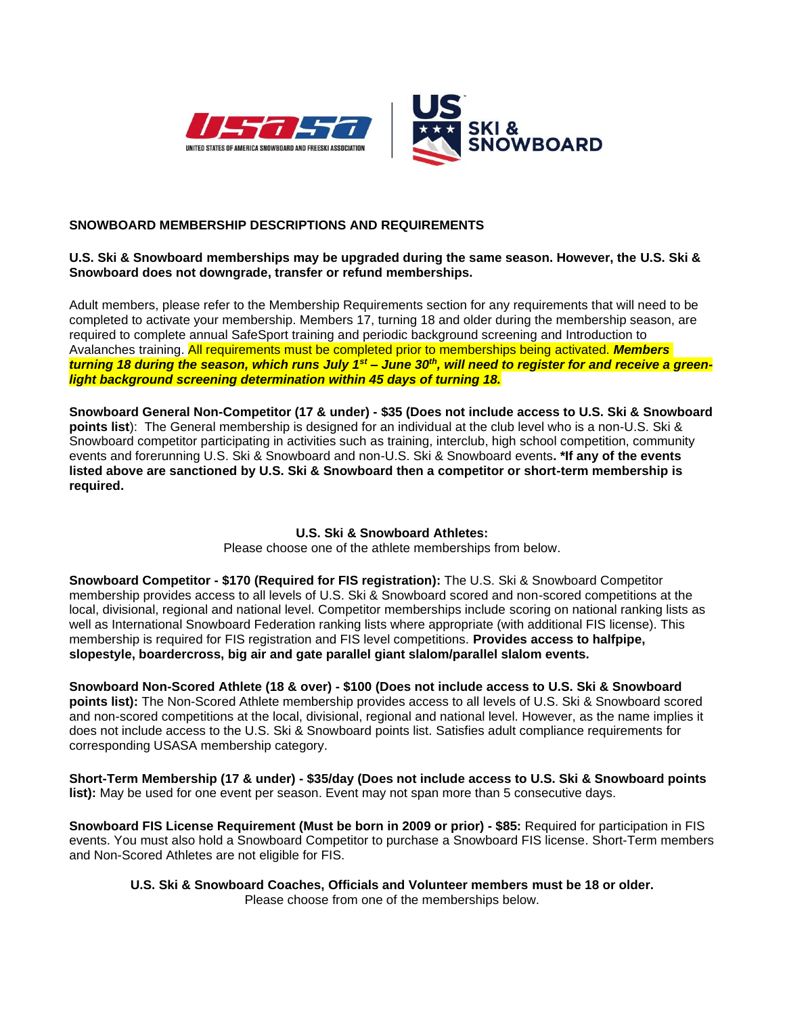

## **SNOWBOARD MEMBERSHIP DESCRIPTIONS AND REQUIREMENTS**

#### **U.S. Ski & Snowboard memberships may be upgraded during the same season. However, the U.S. Ski & Snowboard does not downgrade, transfer or refund memberships.**

Adult members, please refer to the Membership Requirements section for any requirements that will need to be completed to activate your membership. Members 17, turning 18 and older during the membership season, are required to complete annual SafeSport training and periodic background screening and Introduction to Avalanches training. All requirements must be completed prior to memberships being activated. *Members turning 18 during the season, which runs July 1st – June 30th, will need to register for and receive a greenlight background screening determination within 45 days of turning 18.*

**Snowboard General Non-Competitor (17 & under) - \$35 (Does not include access to U.S. Ski & Snowboard points list**): The General membership is designed for an individual at the club level who is a non-U.S. Ski & Snowboard competitor participating in activities such as training, interclub, high school competition, community events and forerunning U.S. Ski & Snowboard and non-U.S. Ski & Snowboard events**. \*If any of the events listed above are sanctioned by U.S. Ski & Snowboard then a competitor or short-term membership is required.**

#### **U.S. Ski & Snowboard Athletes:**

Please choose one of the athlete memberships from below.

**Snowboard Competitor - \$170 (Required for FIS registration):** The U.S. Ski & Snowboard Competitor membership provides access to all levels of U.S. Ski & Snowboard scored and non-scored competitions at the local, divisional, regional and national level. Competitor memberships include scoring on national ranking lists as well as International Snowboard Federation ranking lists where appropriate (with additional FIS license). This membership is required for FIS registration and FIS level competitions. **Provides access to halfpipe, slopestyle, boardercross, big air and gate parallel giant slalom/parallel slalom events.** 

**Snowboard Non-Scored Athlete (18 & over) - \$100 (Does not include access to U.S. Ski & Snowboard points list):** The Non-Scored Athlete membership provides access to all levels of U.S. Ski & Snowboard scored and non-scored competitions at the local, divisional, regional and national level. However, as the name implies it does not include access to the U.S. Ski & Snowboard points list. Satisfies adult compliance requirements for corresponding USASA membership category.

**Short-Term Membership (17 & under) - \$35/day (Does not include access to U.S. Ski & Snowboard points list):** May be used for one event per season. Event may not span more than 5 consecutive days.

**Snowboard FIS License Requirement (Must be born in 2009 or prior) - \$85:** Required for participation in FIS events. You must also hold a Snowboard Competitor to purchase a Snowboard FIS license. Short-Term members and Non-Scored Athletes are not eligible for FIS.

**U.S. Ski & Snowboard Coaches, Officials and Volunteer members must be 18 or older.**  Please choose from one of the memberships below.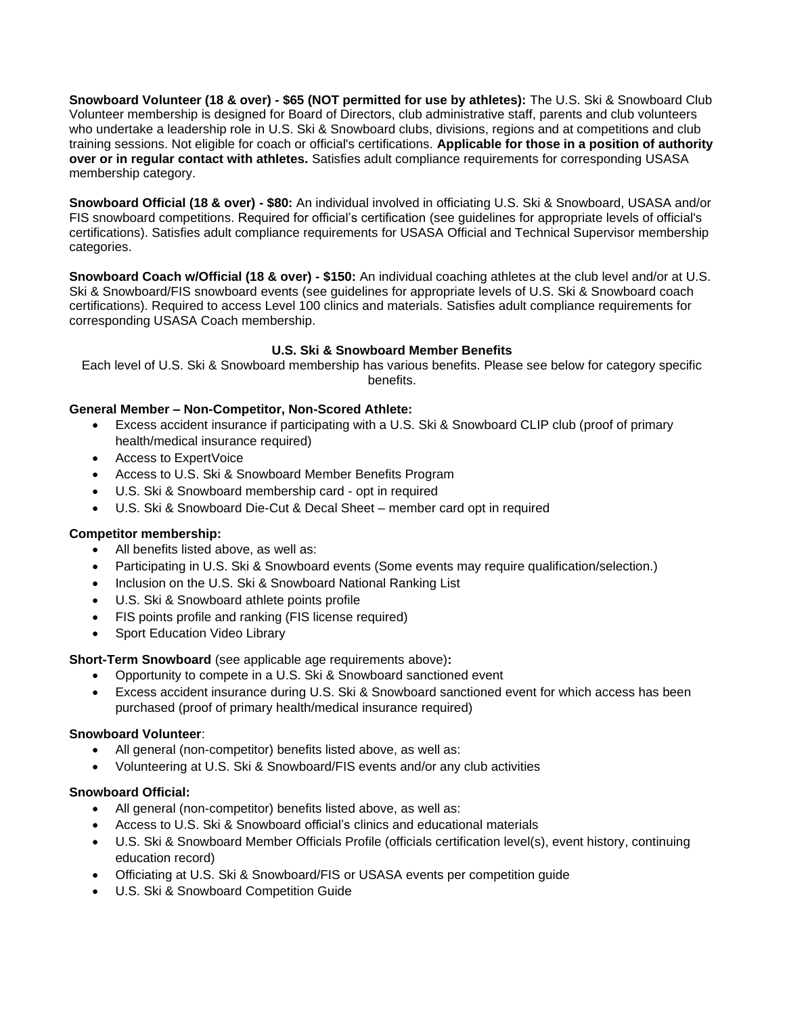**Snowboard Volunteer (18 & over) - \$65 (NOT permitted for use by athletes):** The U.S. Ski & Snowboard Club Volunteer membership is designed for Board of Directors, club administrative staff, parents and club volunteers who undertake a leadership role in U.S. Ski & Snowboard clubs, divisions, regions and at competitions and club training sessions. Not eligible for coach or official's certifications. **Applicable for those in a position of authority over or in regular contact with athletes.** Satisfies adult compliance requirements for corresponding USASA membership category.

**Snowboard Official (18 & over) - \$80:** An individual involved in officiating U.S. Ski & Snowboard, USASA and/or FIS snowboard competitions. Required for official's certification (see guidelines for appropriate levels of official's certifications). Satisfies adult compliance requirements for USASA Official and Technical Supervisor membership categories.

**Snowboard Coach w/Official (18 & over) - \$150:** An individual coaching athletes at the club level and/or at U.S. Ski & Snowboard/FIS snowboard events (see guidelines for appropriate levels of U.S. Ski & Snowboard coach certifications). Required to access Level 100 clinics and materials. Satisfies adult compliance requirements for corresponding USASA Coach membership.

## **U.S. Ski & Snowboard Member Benefits**

Each level of U.S. Ski & Snowboard membership has various benefits. Please see below for category specific benefits.

# **General Member – Non-Competitor, Non-Scored Athlete:**

- Excess accident insurance if participating with a U.S. Ski & Snowboard CLIP club (proof of primary health/medical insurance required)
- Access to ExpertVoice
- Access to U.S. Ski & Snowboard Member Benefits Program
- U.S. Ski & Snowboard membership card opt in required
- U.S. Ski & Snowboard Die-Cut & Decal Sheet member card opt in required

## **Competitor membership:**

- All benefits listed above, as well as:
- Participating in U.S. Ski & Snowboard events (Some events may require qualification/selection.)
- Inclusion on the U.S. Ski & Snowboard National Ranking List
- U.S. Ski & Snowboard athlete points profile
- FIS points profile and ranking (FIS license required)
- **Sport Education Video Library**

**Short-Term Snowboard** (see applicable age requirements above)**:**

- Opportunity to compete in a U.S. Ski & Snowboard sanctioned event
- Excess accident insurance during U.S. Ski & Snowboard sanctioned event for which access has been purchased (proof of primary health/medical insurance required)

## **Snowboard Volunteer**:

- All general (non-competitor) benefits listed above, as well as:
- Volunteering at U.S. Ski & Snowboard/FIS events and/or any club activities

## **Snowboard Official:**

- All general (non-competitor) benefits listed above, as well as:
- Access to U.S. Ski & Snowboard official's clinics and educational materials
- U.S. Ski & Snowboard Member Officials Profile (officials certification level(s), event history, continuing education record)
- Officiating at U.S. Ski & Snowboard/FIS or USASA events per competition guide
- U.S. Ski & Snowboard Competition Guide